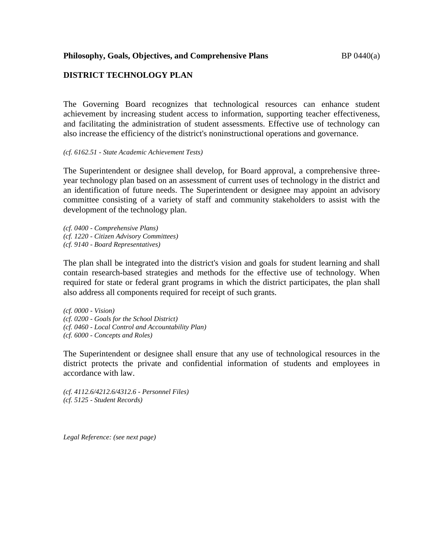### **Philosophy, Goals, Objectives, and Comprehensive Plans** BP 0440(a)

# **DISTRICT TECHNOLOGY PLAN**

The Governing Board recognizes that technological resources can enhance student achievement by increasing student access to information, supporting teacher effectiveness, and facilitating the administration of student assessments. Effective use of technology can also increase the efficiency of the district's noninstructional operations and governance.

### *(cf. 6162.51 - State Academic Achievement Tests)*

The Superintendent or designee shall develop, for Board approval, a comprehensive threeyear technology plan based on an assessment of current uses of technology in the district and an identification of future needs. The Superintendent or designee may appoint an advisory committee consisting of a variety of staff and community stakeholders to assist with the development of the technology plan.

*(cf. 0400 - Comprehensive Plans) (cf. 1220 - Citizen Advisory Committees) (cf. 9140 - Board Representatives)*

The plan shall be integrated into the district's vision and goals for student learning and shall contain research-based strategies and methods for the effective use of technology. When required for state or federal grant programs in which the district participates, the plan shall also address all components required for receipt of such grants.

*(cf. 0000 - Vision) (cf. 0200 - Goals for the School District) (cf. 0460 - Local Control and Accountability Plan) (cf. 6000 - Concepts and Roles)*

The Superintendent or designee shall ensure that any use of technological resources in the district protects the private and confidential information of students and employees in accordance with law.

*(cf. 4112.6/4212.6/4312.6 - Personnel Files) (cf. 5125 - Student Records)*

*Legal Reference: (see next page)*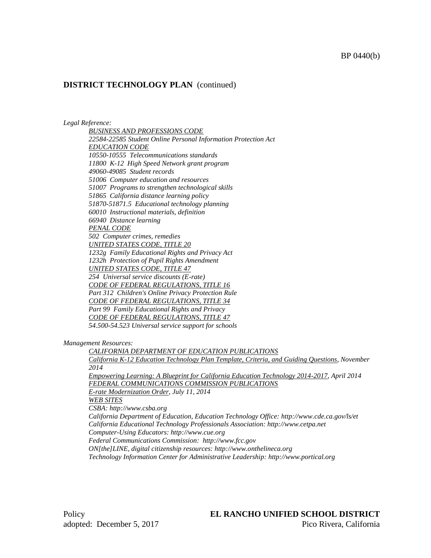### BP 0440(b)

### **DISTRICT TECHNOLOGY PLAN** (continued)

#### *Legal Reference:*

*BUSINESS AND PROFESSIONS CODE 22584-22585 Student Online Personal Information Protection Act EDUCATION CODE 10550-10555 Telecommunications standards 11800 K-12 High Speed Network grant program 49060-49085 Student records 51006 Computer education and resources 51007 Programs to strengthen technological skills 51865 California distance learning policy 51870-51871.5 Educational technology planning 60010 Instructional materials, definition 66940 Distance learning PENAL CODE 502 Computer crimes, remedies UNITED STATES CODE, TITLE 20 1232g Family Educational Rights and Privacy Act 1232h Protection of Pupil Rights Amendment UNITED STATES CODE, TITLE 47 254 Universal service discounts (E-rate) CODE OF FEDERAL REGULATIONS, TITLE 16 Part 312 Children's Online Privacy Protection Rule CODE OF FEDERAL REGULATIONS, TITLE 34 Part 99 Family Educational Rights and Privacy CODE OF FEDERAL REGULATIONS, TITLE 47 54.500-54.523 Universal service support for schools*

*Management Resources:*

*CALIFORNIA DEPARTMENT OF EDUCATION PUBLICATIONS California K-12 Education Technology Plan Template, Criteria, and Guiding Questions, November 2014 Empowering Learning: A Blueprint for California Education Technology 2014-2017, April 2014 FEDERAL COMMUNICATIONS COMMISSION PUBLICATIONS E-rate Modernization Order, July 11, 2014 WEB SITES CSBA: http://www.csba.org California Department of Education, Education Technology Office: http://www.cde.ca.gov/ls/et California Educational Technology Professionals Association: http://www.cetpa.net Computer-Using Educators: http://www.cue.org Federal Communications Commission: http://www.fcc.gov ON[the]LINE, digital citizenship resources: http://www.onthelineca.org Technology Information Center for Administrative Leadership: http://www.portical.org*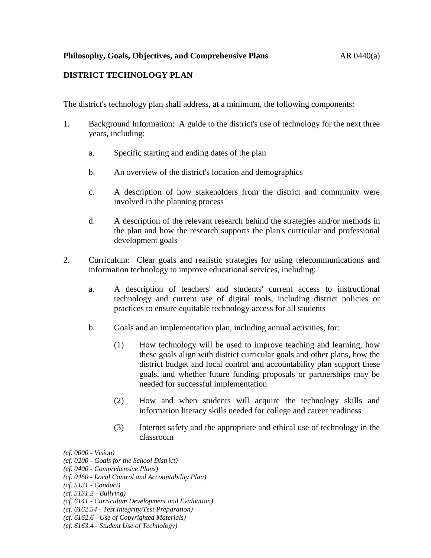## **Philosophy, Goals, Objectives, and Comprehensive Plans** AR 0440(a)

# **DISTRICT TECHNOLOGY PLAN**

The district's technology plan shall address, at a minimum, the following components:

- 1. Background Information: A guide to the district's use of technology for the next three years, including:
	- a. Specific starting and ending dates of the plan
	- b. An overview of the district's location and demographics
	- c. A description of how stakeholders from the district and community were involved in the planning process
	- d. A description of the relevant research behind the strategies and/or methods in the plan and how the research supports the plan's curricular and professional development goals
- 2. Curriculum: Clear goals and realistic strategies for using telecommunications and information technology to improve educational services, including:
	- a. A description of teachers' and students' current access to instructional technology and current use of digital tools, including district policies or practices to ensure equitable technology access for all students
	- b. Goals and an implementation plan, including annual activities, for:
		- (1) How technology will be used to improve teaching and learning, how these goals align with district curricular goals and other plans, how the district budget and local control and accountability plan support these goals, and whether future funding proposals or partnerships may be needed for successful implementation
		- (2) How and when students will acquire the technology skills and information literacy skills needed for college and career readiness
		- (3) Internet safety and the appropriate and ethical use of technology in the classroom
- *(cf. 0000 - Vision)*
- *(cf. 0200 - Goals for the School District)*
- *(cf. 0400 - Comprehensive Plans)*
- *(cf. 0460 - Local Control and Accountability Plan)*
- *(cf. 5131 - Conduct)*
- *(cf. 5131.2 - Bullying)*
- *(cf. 6141 - Curriculum Development and Evaluation)*
- *(cf. 6162.54 - Test Integrity/Test Preparation)*
- *(cf. 6162.6 - Use of Copyrighted Materials)*
- *(cf. 6163.4 - Student Use of Technology)*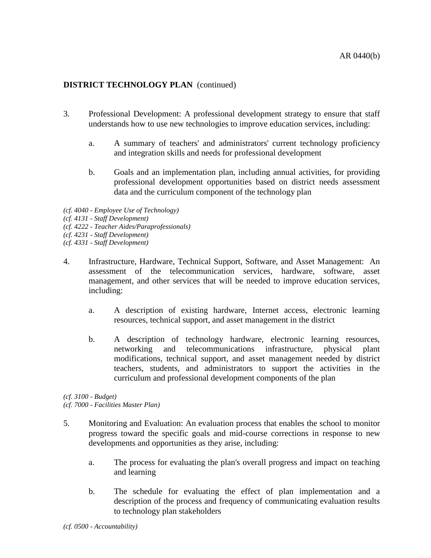# **DISTRICT TECHNOLOGY PLAN** (continued)

- 3. Professional Development: A professional development strategy to ensure that staff understands how to use new technologies to improve education services, including:
	- a. A summary of teachers' and administrators' current technology proficiency and integration skills and needs for professional development
	- b. Goals and an implementation plan, including annual activities, for providing professional development opportunities based on district needs assessment data and the curriculum component of the technology plan
- *(cf. 4040 - Employee Use of Technology)*
- *(cf. 4131 - Staff Development)*
- *(cf. 4222 - Teacher Aides/Paraprofessionals)*
- *(cf. 4231 - Staff Development)*
- *(cf. 4331 - Staff Development)*
- 4. Infrastructure, Hardware, Technical Support, Software, and Asset Management: An assessment of the telecommunication services, hardware, software, asset management, and other services that will be needed to improve education services, including:
	- a. A description of existing hardware, Internet access, electronic learning resources, technical support, and asset management in the district
	- b. A description of technology hardware, electronic learning resources, networking and telecommunications infrastructure, physical plant modifications, technical support, and asset management needed by district teachers, students, and administrators to support the activities in the curriculum and professional development components of the plan

*(cf. 3100 - Budget)*

*(cf. 7000 - Facilities Master Plan)*

- 5. Monitoring and Evaluation: An evaluation process that enables the school to monitor progress toward the specific goals and mid-course corrections in response to new developments and opportunities as they arise, including:
	- a. The process for evaluating the plan's overall progress and impact on teaching and learning
	- b. The schedule for evaluating the effect of plan implementation and a description of the process and frequency of communicating evaluation results to technology plan stakeholders